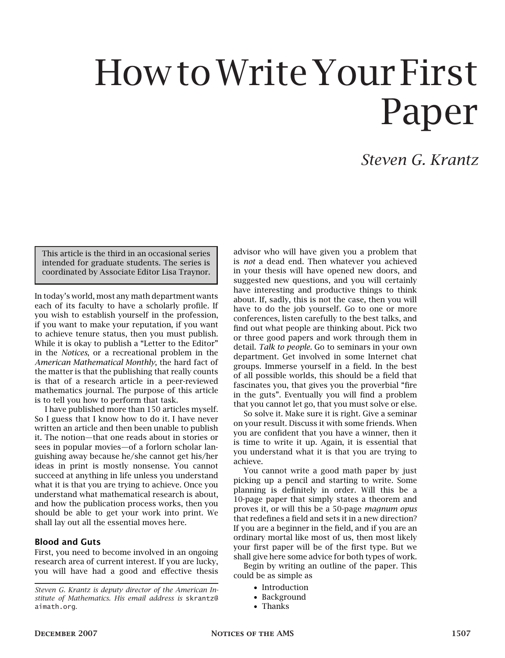# How to Write Your First Paper

## *Steven G. Krantz*

This article is the third in an occasional series intended for graduate students. The series is coordinated by Associate Editor Lisa Traynor.

In today's world, most any math department wants each of its faculty to have a scholarly profile. If you wish to establish yourself in the profession, if you want to make your reputation, if you want to achieve tenure status, then you must publish. While it is okay to publish a "Letter to the Editor" in the *Notices*, or a recreational problem in the *American Mathematical Monthly*, the hard fact of the matter is that the publishing that really counts is that of a research article in a peer-reviewed mathematics journal. The purpose of this article is to tell you how to perform that task.

I have published more than 150 articles myself. So I guess that I know how to do it. I have never written an article and then been unable to publish it. The notion—that one reads about in stories or sees in popular movies—of a forlorn scholar languishing away because he/she cannot get his/her ideas in print is mostly nonsense. You cannot succeed at anything in life unless you understand what it is that you are trying to achieve. Once you understand what mathematical research is about, and how the publication process works, then you should be able to get your work into print. We shall lay out all the essential moves here.

#### Blood and Guts

First, you need to become involved in an ongoing research area of current interest. If you are lucky, you will have had a good and effective thesis

*Steven G. Krantz is deputy director of the American Institute of Mathematics. His email address is* skrantz@ aimath.org*.*

advisor who will have given you a problem that is *not* a dead end. Then whatever you achieved in your thesis will have opened new doors, and suggested new questions, and you will certainly have interesting and productive things to think about. If, sadly, this is not the case, then you will have to do the job yourself. Go to one or more conferences, listen carefully to the best talks, and find out what people are thinking about. Pick two or three good papers and work through them in detail. *Talk to people.* Go to seminars in your own department. Get involved in some Internet chat groups. Immerse yourself in a field. In the best of all possible worlds, this should be a field that fascinates you, that gives you the proverbial "fire in the guts". Eventually you will find a problem that you cannot let go, that you must solve or else.

So solve it. Make sure it is right. Give a seminar on your result. Discuss it with some friends. When you are confident that you have a winner, then it is time to write it up. Again, it is essential that you understand what it is that you are trying to achieve.

You cannot write a good math paper by just picking up a pencil and starting to write. Some planning is definitely in order. Will this be a 10-page paper that simply states a theorem and proves it, or will this be a 50-page *magnum opus* that redefines a field and sets it in a new direction? If you are a beginner in the field, and if you are an ordinary mortal like most of us, then most likely your first paper will be of the first type. But we shall give here some advice for both types of work.

Begin by writing an outline of the paper. This could be as simple as

- Introduction
- Background
- Thanks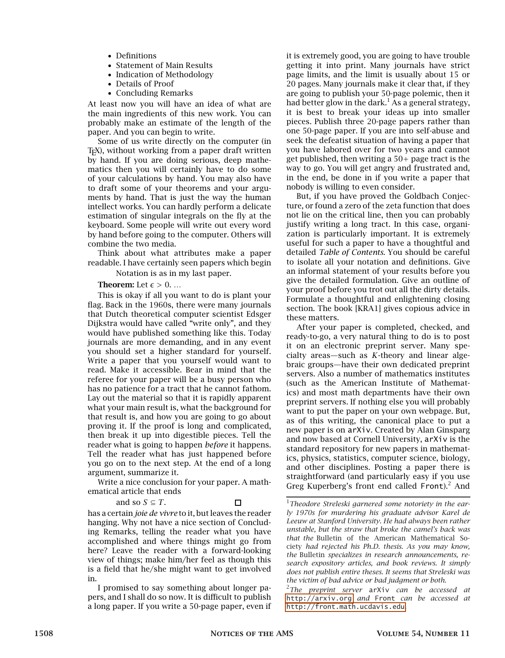- Definitions
- Statement of Main Results
- Indication of Methodology
- Details of Proof
- Concluding Remarks

At least now you will have an idea of what are the main ingredients of this new work. You can probably make an estimate of the length of the paper. And you can begin to write.

Some of us write directly on the computer (in TEX), without working from a paper draft written by hand. If you are doing serious, deep mathematics then you will certainly have to do some of your calculations by hand. You may also have to draft some of your theorems and your arguments by hand. That is just the way the human intellect works. You can hardly perform a delicate estimation of singular integrals on the fly at the keyboard. Some people will write out every word by hand before going to the computer. Others will combine the two media.

Think about what attributes make a paper readable. I have certainly seen papers which begin

Notation is as in my last paper.

**Theorem:** Let  $\epsilon > 0$ ....

This is okay if all you want to do is plant your flag. Back in the 1960s, there were many journals that Dutch theoretical computer scientist Edsger Dijkstra would have called "write only", and they would have published something like this. Today journals are more demanding, and in any event you should set a higher standard for yourself. Write a paper that you yourself would want to read. Make it accessible. Bear in mind that the referee for your paper will be a busy person who has no patience for a tract that he cannot fathom. Lay out the material so that it is rapidly apparent what your main result is, what the background for that result is, and how you are going to go about proving it. If the proof is long and complicated, then break it up into digestible pieces. Tell the reader what is going to happen *before* it happens. Tell the reader what has just happened before you go on to the next step. At the end of a long argument, summarize it.

Write a nice conclusion for your paper. A mathematical article that ends

and so 
$$
S \subseteq T
$$
.

$$
\Box \quad
$$

has a certain *joie de vivre* to it, but leaves the reader hanging. Why not have a nice section of Concluding Remarks, telling the reader what you have accomplished and where things might go from here? Leave the reader with a forward-looking view of things; make him/her feel as though this is a field that he/she might want to get involved in.

I promised to say something about longer papers, and I shall do so now. It is difficult to publish a long paper. If you write a 50-page paper, even if it is extremely good, you are going to have trouble getting it into print. Many journals have strict page limits, and the limit is usually about 15 or 20 pages. Many journals make it clear that, if they are going to publish your 50-page polemic, then it had better glow in the dark.<sup>1</sup> As a general strategy, it is best to break your ideas up into smaller pieces. Publish three 20-page papers rather than one 50-page paper. If you are into self-abuse and seek the defeatist situation of having a paper that you have labored over for two years and cannot get published, then writing a 50+ page tract is the way to go. You will get angry and frustrated and, in the end, be done in if you write a paper that nobody is willing to even consider.

But, if you have proved the Goldbach Conjecture, or found a zero of the zeta function that does not lie on the critical line, then you can probably justify writing a long tract. In this case, organization is particularly important. It is extremely useful for such a paper to have a thoughtful and detailed *Table of Contents*. You should be careful to isolate all your notation and definitions. Give an informal statement of your results before you give the detailed formulation. Give an outline of your proof before you trot out all the dirty details. Formulate a thoughtful and enlightening closing section. The book [KRA1] gives copious advice in these matters.

After your paper is completed, checked, and ready-to-go, a very natural thing to do is to post it on an electronic preprint server. Many specialty areas—such as *K*-theory and linear algebraic groups—have their own dedicated preprint servers. Also a number of mathematics institutes (such as the American Institute of Mathematics) and most math departments have their own preprint servers. If nothing else you will probably want to put the paper on your own webpage. But, as of this writing, the canonical place to put a new paper is on arXiv. Created by Alan Ginsparg and now based at Cornell University, arXiv is the standard repository for new papers in mathematics, physics, statistics, computer science, biology, and other disciplines. Posting a paper there is straightforward (and particularly easy if you use Greg Kuperberg's front end called  $Front$ ).<sup>2</sup> And

<sup>1</sup>*Theodore Streleski garnered some notoriety in the early 1970s for murdering his graduate advisor Karel de Leeuw at Stanford University. He had always been rather unstable, but the straw that broke the camel's back was that the* Bulletin of the American Mathematical Society *had rejected his Ph.D. thesis. As you may know, the* Bulletin *specializes in research announcements, research expository articles, and book reviews. It simply does not publish entire theses. It seems that Streleski was the victim of bad advice or bad judgment or both.*

<sup>2</sup>*The preprint server* arXiv *can be accessed at* <http://arxiv.org> *and* Front *can be accessed at* <http://front.math.ucdavis.edu>*.*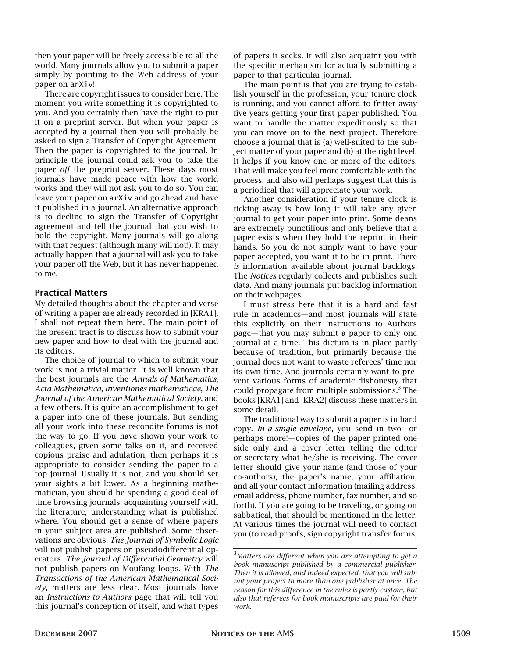then your paper will be freely accessible to all the world. Many journals allow you to submit a paper simply by pointing to the Web address of your paper on arXiv!

There are copyright issues to consider here. The moment you write something it is copyrighted to you. And you certainly then have the right to put it on a preprint server. But when your paper is accepted by a journal then you will probably be asked to sign a Transfer of Copyright Agreement. Then the paper is copyrighted to the journal. In principle the journal could ask you to take the paper *off* the preprint server. These days most journals have made peace with how the world works and they will not ask you to do so. You can leave your paper on arXiv and go ahead and have it published in a journal. An alternative approach is to decline to sign the Transfer of Copyright agreement and tell the journal that you wish to hold the copyright. Many journals will go along with that request (although many will not!). It may actually happen that a journal will ask you to take your paper off the Web, but it has never happened to me.

#### Practical Matters

My detailed thoughts about the chapter and verse of writing a paper are already recorded in [KRA1]. I shall not repeat them here. The main point of the present tract is to discuss how to submit your new paper and how to deal with the journal and its editors.

The choice of journal to which to submit your work is not a trivial matter. It is well known that the best journals are the *Annals of Mathematics*, *Acta Mathematica*, *Inventiones mathematicae*, *The Journal of the American Mathematical Society*, and a few others. It is quite an accomplishment to get a paper into one of these journals. But sending all your work into these recondite forums is not the way to go. If you have shown your work to colleagues, given some talks on it, and received copious praise and adulation, then perhaps it is appropriate to consider sending the paper to a top journal. Usually it is not, and you should set your sights a bit lower. As a beginning mathematician, you should be spending a good deal of time browsing journals, acquainting yourself with the literature, understanding what is published where. You should get a sense of where papers in your subject area are published. Some observations are obvious. *The Journal of Symbolic Logic* will not publish papers on pseudodifferential operators. *The Journal of Differential Geometry* will not publish papers on Moufang loops. With *The Transactions of the American Mathematical Society*, matters are less clear. Most journals have an *Instructions to Authors* page that will tell you this journal's conception of itself, and what types

of papers it seeks. It will also acquaint you with the specific mechanism for actually submitting a paper to that particular journal.

The main point is that you are trying to establish yourself in the profession, your tenure clock is running, and you cannot afford to fritter away five years getting your first paper published. You want to handle the matter expeditiously so that you can move on to the next project. Therefore choose a journal that is (a) well-suited to the subject matter of your paper and (b) at the right level. It helps if you know one or more of the editors. That will make you feel more comfortable with the process, and also will perhaps suggest that this is a periodical that will appreciate your work.

Another consideration if your tenure clock is ticking away is how long it will take any given journal to get your paper into print. Some deans are extremely punctilious and only believe that a paper exists when they hold the reprint in their hands. So you do not simply want to have your paper accepted, you want it to be in print. There *is* information available about journal backlogs. The *Notices* regularly collects and publishes such data. And many journals put backlog information on their webpages.

I must stress here that it is a hard and fast rule in academics—and most journals will state this explicitly on their Instructions to Authors page—that you may submit a paper to only one journal at a time. This dictum is in place partly because of tradition, but primarily because the journal does not want to waste referees' time nor its own time. And journals certainly want to prevent various forms of academic dishonesty that could propagate from multiple submissions.<sup>3</sup> The books [KRA1] and [KRA2] discuss these matters in some detail.

The traditional way to submit a paper is in hard copy. *In a single envelope*, you send in two—or perhaps more!—copies of the paper printed one side only and a cover letter telling the editor or secretary what he/she is receiving. The cover letter should give your name (and those of your co-authors), the paper's name, your affiliation, and all your contact information (mailing address, email address, phone number, fax number, and so forth). If you are going to be traveling, or going on sabbatical, that should be mentioned in the letter. At various times the journal will need to contact you (to read proofs, sign copyright transfer forms,

<sup>3</sup>*Matters are different when you are attempting to get a book manuscript published by a commercial publisher. Then it is allowed, and indeed expected, that you will submit your project to more than one publisher at once. The reason for this difference in the rules is partly custom, but also that referees for book manuscripts are paid for their work.*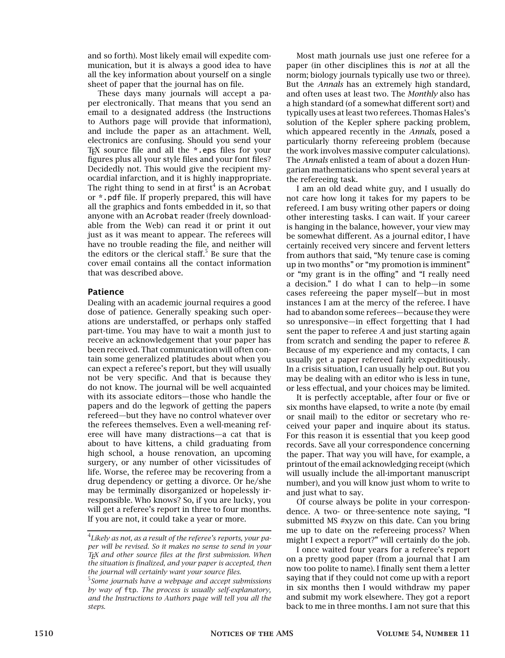and so forth). Most likely email will expedite communication, but it is always a good idea to have all the key information about yourself on a single sheet of paper that the journal has on file.

These days many journals will accept a paper electronically. That means that you send an email to a designated address (the Instructions to Authors page will provide that information), and include the paper as an attachment. Well, electronics are confusing. Should you send your T<sub>EX</sub> source file and all the  $*$  eps files for your figures plus all your style files and your font files? Decidedly not. This would give the recipient myocardial infarction, and it is highly inappropriate. The right thing to send in at first $^4$  is an Acrobat or \*.pdf file. If properly prepared, this will have all the graphics and fonts embedded in it, so that anyone with an Acrobat reader (freely downloadable from the Web) can read it or print it out just as it was meant to appear. The referees will have no trouble reading the file, and neither will the editors or the clerical staff.<sup>5</sup> Be sure that the cover email contains all the contact information that was described above.

#### Patience

Dealing with an academic journal requires a good dose of patience. Generally speaking such operations are understaffed, or perhaps only staffed part-time. You may have to wait a month just to receive an acknowledgement that your paper has been received. That communication will often contain some generalized platitudes about when you can expect a referee's report, but they will usually not be very specific. And that is because they do not know. The journal will be well acquainted with its associate editors—those who handle the papers and do the legwork of getting the papers refereed—but they have no control whatever over the referees themselves. Even a well-meaning referee will have many distractions—a cat that is about to have kittens, a child graduating from high school, a house renovation, an upcoming surgery, or any number of other vicissitudes of life. Worse, the referee may be recovering from a drug dependency or getting a divorce. Or he/she may be terminally disorganized or hopelessly irresponsible. Who knows? So, if you are lucky, you will get a referee's report in three to four months. If you are not, it could take a year or more.

Most math journals use just one referee for a paper (in other disciplines this is *not* at all the norm; biology journals typically use two or three). But the *Annals* has an extremely high standard, and often uses at least two. The *Monthly* also has a high standard (of a somewhat different sort) and typically uses at least two referees. Thomas Hales's solution of the Kepler sphere packing problem, which appeared recently in the *Annals*, posed a particularly thorny refereeing problem (because the work involves massive computer calculations). The *Annals* enlisted a team of about a dozen Hungarian mathematicians who spent several years at the refereeing task.

I am an old dead white guy, and I usually do not care how long it takes for my papers to be refereed. I am busy writing other papers or doing other interesting tasks. I can wait. If your career is hanging in the balance, however, your view may be somewhat different. As a journal editor, I have certainly received very sincere and fervent letters from authors that said, "My tenure case is coming up in two months" or "my promotion is imminent" or "my grant is in the offing" and "I really need a decision." I do what I can to help—in some cases refereeing the paper myself—but in most instances I am at the mercy of the referee. I have had to abandon some referees—because they were so unresponsive—in effect forgetting that I had sent the paper to referee A and just starting again from scratch and sending the paper to referee B. Because of my experience and my contacts, I can usually get a paper refereed fairly expeditiously. In a crisis situation, I can usually help out. But you may be dealing with an editor who is less in tune, or less effectual, and your choices may be limited.

It is perfectly acceptable, after four or five or six months have elapsed, to write a note (by email or snail mail) to the editor or secretary who received your paper and inquire about its status. For this reason it is essential that you keep good records. Save all your correspondence concerning the paper. That way you will have, for example, a printout of the email acknowledging receipt (which will usually include the all-important manuscript number), and you will know just whom to write to and just what to say.

Of course always be polite in your correspondence. A two- or three-sentence note saying, "I submitted MS #xyzw on this date. Can you bring me up to date on the refereeing process? When might I expect a report?" will certainly do the job.

I once waited four years for a referee's report on a pretty good paper (from a journal that I am now too polite to name). I finally sent them a letter saying that if they could not come up with a report in six months then I would withdraw my paper and submit my work elsewhere. They got a report back to me in three months. I am not sure that this

<sup>4</sup> *Likely as not, as a result of the referee's reports, your paper will be revised. So it makes no sense to send in your TEX and other source files at the first submission. When the situation is finalized, and your paper is accepted, then the journal will certainly want your source files.*

<sup>5</sup> *Some journals have a webpage and accept submissions by way of* ftp*. The process is usually self-explanatory, and the Instructions to Authors page will tell you all the steps.*